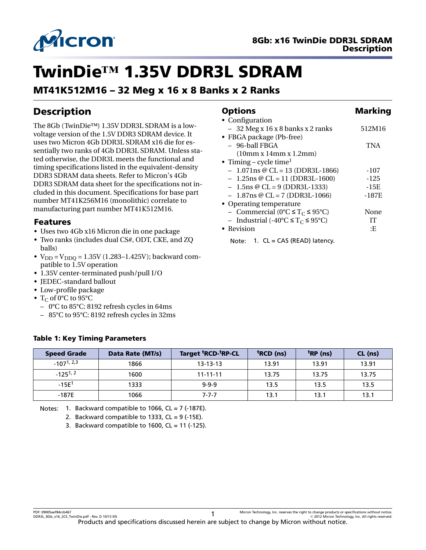

# TwinDie**™** 1.35V DDR3L SDRAM

# MT41K512M16 – 32 Meg x 16 x 8 Banks x 2 Ranks

# Description

The 8Gb (TwinDie™) 1.35V DDR3L SDRAM is a lowvoltage version of the 1.5V DDR3 SDRAM device. It uses two Micron 4Gb DDR3L SDRAM x16 die for essentially two ranks of 4Gb DDR3L SDRAM. Unless stated otherwise, the DDR3L meets the functional and timing specifications listed in the equivalent-density DDR3 SDRAM data sheets. Refer to Micron's 4Gb DDR3 SDRAM data sheet for the specifications not included in this document. Specifications for base part number MT41K256M16 (monolithic) correlate to manufacturing part number MT41K512M16.

### Features

- Uses two 4Gb x16 Micron die in one package
- Two ranks (includes dual CS#, ODT, CKE, and ZQ balls)
- $V_{DD} = V_{DDO} = 1.35V (1.283 1.425V)$ ; backward compatible to 1.5V operation
- 1.35V center-terminated push/pull I/O

Table 1: Key Timing Parameters

- JEDEC-standard ballout
- Low-profile package
- $T_C$  of 0°C to 95°C
	- 0°C to 85°C: 8192 refresh cycles in 64ms
	- 85°C to 95°C: 8192 refresh cycles in 32ms

### Options Marking • Configuration  $-32$  Meg x 16 x 8 banks x 2 ranks  $512M16$

| • FBGA package (Pb-free)                             |            |
|------------------------------------------------------|------------|
| - 96-ball FBGA                                       | <b>TNA</b> |
| (10mm x 14mm x 1.2mm)                                |            |
| • Timing – cycle time <sup>1</sup>                   |            |
| $-1.071$ ns @ CL = 13 (DDR3L-1866)                   | -107       |
| $-1.25$ ns @ CL = 11 (DDR3L-1600)                    | $-125$     |
| $-1.5$ ns @ CL = 9 (DDR3L-1333)                      | $-15E$     |
| $-1.87$ ns @ CL = 7 (DDR3L-1066)                     | $-187E$    |
| • Operating temperature                              |            |
| - Commercial (0°C $\leq$ T <sub>C</sub> $\leq$ 95°C) | None       |
| - Industrial (-40°C $\leq T_C \leq 95$ °C)           | IТ         |
| • Revision                                           | ٠E         |
|                                                      |            |

Note: 1. CL = CAS (READ) latency.

| <b>Speed Grade</b> | Data Rate (MT/s) | Target 'RCD-'RP-CL | <sup>t</sup> RCD (ns) | <sup>t</sup> RP (ns) | CL (ns) |
|--------------------|------------------|--------------------|-----------------------|----------------------|---------|
| $-107^{1,2,3}$     | 1866             | $13 - 13 - 13$     | 13.91                 | 13.91                | 13.91   |
| $-125^{1,2}$       | 1600             | $11 - 11 - 11$     | 13.75                 | 13.75                | 13.75   |
| $-15E1$            | 1333             | $9 - 9 - 9$        | 13.5                  | 13.5                 | 13.5    |
| $-187E$            | 1066             | $7 - 7 - 7$        | 13.1                  | 13.1                 | 13.1    |

Notes: 1. Backward compatible to 1066,  $CL = 7$  (-187E).

3. Backward compatible to 1600,  $CL = 11$  (-125).

<sup>2.</sup> Backward compatible to 1333,  $CL = 9$  (-15E).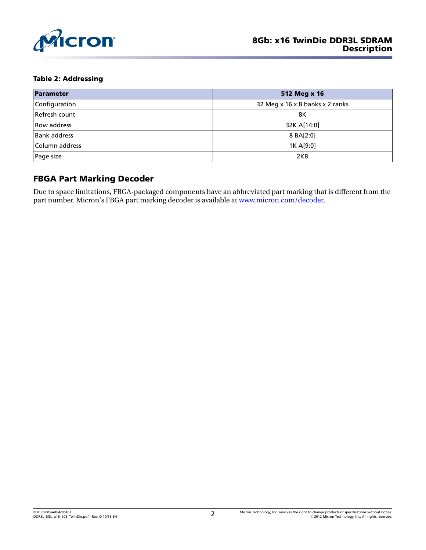

#### Table 2: Addressing

| Parameter           | 512 Meg x 16                    |
|---------------------|---------------------------------|
| Configuration       | 32 Meg x 16 x 8 banks x 2 ranks |
| Refresh count       | 8Κ                              |
| Row address         | 32K A[14:0]                     |
| <b>Bank address</b> | 8 BA[2:0]                       |
| Column address      | 1K A[9:0]                       |
| Page size           | 2KB                             |

### FBGA Part Marking Decoder

Due to space limitations, FBGA-packaged components have an abbreviated part marking that is different from the part number. Micron's FBGA part marking decoder is available at [www.micron.com/decoder](http://www.micron.com/decoder).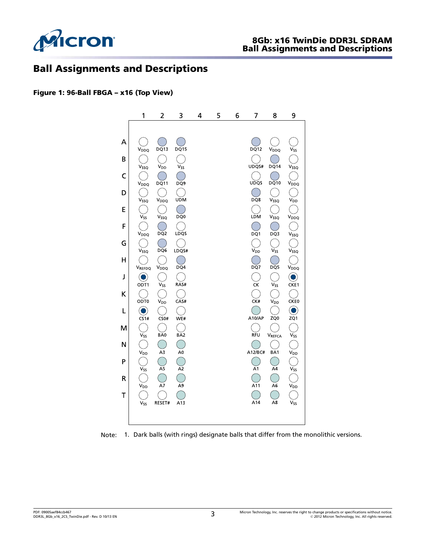

### Ball Assignments and Descriptions

#### Figure 1: 96-Ball FBGA – x16 (Top View)



Note: 1. Dark balls (with rings) designate balls that differ from the monolithic versions.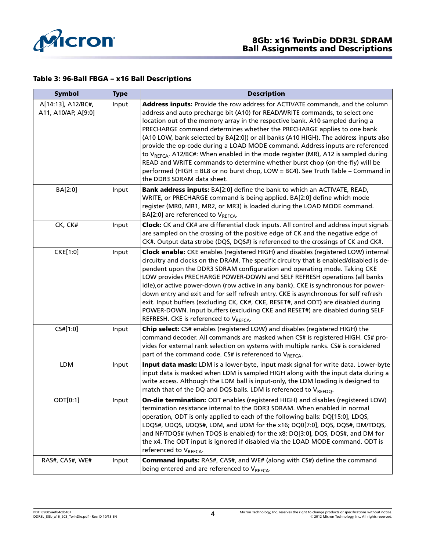

#### Table 3: 96-Ball FBGA – x16 Ball Descriptions

| <b>Symbol</b>                             | <b>Type</b> | <b>Description</b>                                                                                                                                                                                                                                                                                                                                                                                                                                                                                                                                                                                                                                                                                                                                                                                   |
|-------------------------------------------|-------------|------------------------------------------------------------------------------------------------------------------------------------------------------------------------------------------------------------------------------------------------------------------------------------------------------------------------------------------------------------------------------------------------------------------------------------------------------------------------------------------------------------------------------------------------------------------------------------------------------------------------------------------------------------------------------------------------------------------------------------------------------------------------------------------------------|
| A[14:13], A12/BC#,<br>A11, A10/AP, A[9:0] | Input       | Address inputs: Provide the row address for ACTIVATE commands, and the column<br>address and auto precharge bit (A10) for READ/WRITE commands, to select one<br>location out of the memory array in the respective bank. A10 sampled during a<br>PRECHARGE command determines whether the PRECHARGE applies to one bank<br>(A10 LOW, bank selected by BA[2:0]) or all banks (A10 HIGH). The address inputs also<br>provide the op-code during a LOAD MODE command. Address inputs are referenced<br>to V <sub>REFCA</sub> . A12/BC#: When enabled in the mode register (MR), A12 is sampled during<br>READ and WRITE commands to determine whether burst chop (on-the-fly) will be<br>performed (HIGH = BL8 or no burst chop, LOW = BC4). See Truth Table - Command in<br>the DDR3 SDRAM data sheet. |
| BA[2:0]                                   | Input       | Bank address inputs: BA[2:0] define the bank to which an ACTIVATE, READ,<br>WRITE, or PRECHARGE command is being applied. BA[2:0] define which mode<br>register (MR0, MR1, MR2, or MR3) is loaded during the LOAD MODE command.<br>BA[2:0] are referenced to VREFCA.                                                                                                                                                                                                                                                                                                                                                                                                                                                                                                                                 |
| CK, CK#                                   | Input       | Clock: CK and CK# are differential clock inputs. All control and address input signals<br>are sampled on the crossing of the positive edge of CK and the negative edge of<br>CK#. Output data strobe (DQS, DQS#) is referenced to the crossings of CK and CK#.                                                                                                                                                                                                                                                                                                                                                                                                                                                                                                                                       |
| CKE[1:0]                                  | Input       | Clock enable: CKE enables (registered HIGH) and disables (registered LOW) internal<br>circuitry and clocks on the DRAM. The specific circuitry that is enabled/disabled is de-<br>pendent upon the DDR3 SDRAM configuration and operating mode. Taking CKE<br>LOW provides PRECHARGE POWER-DOWN and SELF REFRESH operations (all banks<br>idle), or active power-down (row active in any bank). CKE is synchronous for power-<br>down entry and exit and for self refresh entry. CKE is asynchronous for self refresh<br>exit. Input buffers (excluding CK, CK#, CKE, RESET#, and ODT) are disabled during<br>POWER-DOWN. Input buffers (excluding CKE and RESET#) are disabled during SELF<br>REFRESH. CKE is referenced to VREFCA.                                                                 |
| CS#[1:0]                                  | Input       | Chip select: CS# enables (registered LOW) and disables (registered HIGH) the<br>command decoder. All commands are masked when CS# is registered HIGH. CS# pro-<br>vides for external rank selection on systems with multiple ranks. CS# is considered<br>part of the command code. CS# is referenced to VREFCA.                                                                                                                                                                                                                                                                                                                                                                                                                                                                                      |
| LDM                                       | Input       | Input data mask: LDM is a lower-byte, input mask signal for write data. Lower-byte<br>input data is masked when LDM is sampled HIGH along with the input data during a<br>write access. Although the LDM ball is input-only, the LDM loading is designed to<br>match that of the DQ and DQS balls. LDM is referenced to VREFDQ.                                                                                                                                                                                                                                                                                                                                                                                                                                                                      |
| ODT[0:1]                                  | Input       | On-die termination: ODT enables (registered HIGH) and disables (registered LOW)<br>termination resistance internal to the DDR3 SDRAM. When enabled in normal<br>operation, ODT is only applied to each of the following balls: DQ[15:0], LDQS,<br>LDQS#, UDQS, UDQS#, LDM, and UDM for the x16; DQ0[7:0], DQS, DQS#, DM/TDQS,<br>and NF/TDQS# (when TDQS is enabled) for the x8; DQ[3:0], DQS, DQS#, and DM for<br>the x4. The ODT input is ignored if disabled via the LOAD MODE command. ODT is<br>referenced to VREFCA.                                                                                                                                                                                                                                                                           |
| RAS#, CAS#, WE#                           | Input       | <b>Command inputs:</b> RAS#, CAS#, and WE# (along with CS#) define the command<br>being entered and are referenced to VREFCA.                                                                                                                                                                                                                                                                                                                                                                                                                                                                                                                                                                                                                                                                        |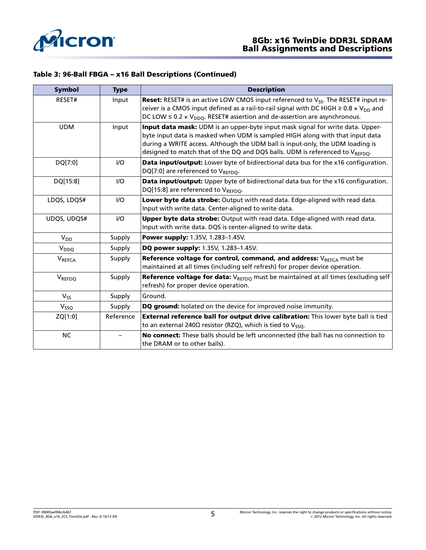

### Table 3: 96-Ball FBGA – x16 Ball Descriptions (Continued)

| <b>Symbol</b>      | <b>Type</b> | <b>Description</b>                                                                                                                                                                                                                                                                                                                |
|--------------------|-------------|-----------------------------------------------------------------------------------------------------------------------------------------------------------------------------------------------------------------------------------------------------------------------------------------------------------------------------------|
| RESET#             | Input       | Reset: RESET# is an active LOW CMOS input referenced to V <sub>SS</sub> . The RESET# input re-<br>ceiver is a CMOS input defined as a rail-to-rail signal with DC HIGH $\geq$ 0.8 x V <sub>DD</sub> and<br>DC LOW $\leq$ 0.2 $\times$ V <sub>DDQ</sub> . RESET# assertion and de-assertion are asynchronous.                      |
| <b>UDM</b>         | Input       | Input data mask: UDM is an upper-byte input mask signal for write data. Upper-<br>byte input data is masked when UDM is sampled HIGH along with that input data<br>during a WRITE access. Although the UDM ball is input-only, the UDM loading is<br>designed to match that of the DQ and DQS balls. UDM is referenced to VREFDO. |
| DQ[7:0]            | $UO$        | Data input/output: Lower byte of bidirectional data bus for the x16 configuration.<br>DQ[7:0] are referenced to VREFDO.                                                                                                                                                                                                           |
| DQ[15:8]           | I/O         | Data input/output: Upper byte of bidirectional data bus for the x16 configuration.<br>DQ[15:8] are referenced to VREFDO.                                                                                                                                                                                                          |
| LDQS, LDQS#        | $UO$        | Lower byte data strobe: Output with read data. Edge-aligned with read data.<br>Input with write data. Center-aligned to write data.                                                                                                                                                                                               |
| UDQS, UDQS#        | $UO$        | Upper byte data strobe: Output with read data. Edge-aligned with read data.<br>Input with write data. DQS is center-aligned to write data.                                                                                                                                                                                        |
| $V_{DD}$           | Supply      | Power supply: 1.35V, 1.283-1.45V.                                                                                                                                                                                                                                                                                                 |
| V <sub>DDQ</sub>   | Supply      | DQ power supply: 1.35V, 1.283-1.45V.                                                                                                                                                                                                                                                                                              |
| V <sub>REFCA</sub> | Supply      | Reference voltage for control, command, and address: $V_{RFFCA}$ must be<br>maintained at all times (including self refresh) for proper device operation.                                                                                                                                                                         |
| VREFDQ             | Supply      | <b>Reference voltage for data:</b> $V_{REFOO}$ must be maintained at all times (excluding self<br>refresh) for proper device operation.                                                                                                                                                                                           |
| $V_{SS}$           | Supply      | Ground.                                                                                                                                                                                                                                                                                                                           |
| V <sub>SSQ</sub>   | Supply      | DQ ground: Isolated on the device for improved noise immunity.                                                                                                                                                                                                                                                                    |
| ZQ[1:0]            | Reference   | External reference ball for output drive calibration: This lower byte ball is tied<br>to an external 240 $\Omega$ resistor (RZQ), which is tied to V <sub>SSO</sub> .                                                                                                                                                             |
| <b>NC</b>          |             | No connect: These balls should be left unconnected (the ball has no connection to<br>the DRAM or to other balls).                                                                                                                                                                                                                 |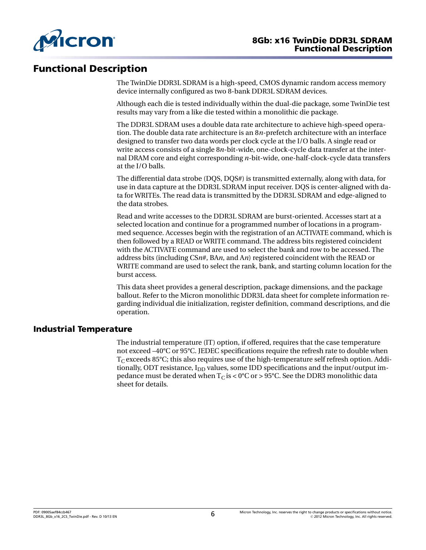

# Functional Description

The TwinDie DDR3L SDRAM is a high-speed, CMOS dynamic random access memory device internally configured as two 8-bank DDR3L SDRAM devices.

Although each die is tested individually within the dual-die package, some TwinDie test results may vary from a like die tested within a monolithic die package.

The DDR3L SDRAM uses a double data rate architecture to achieve high-speed operation. The double data rate architecture is an 8*n*-prefetch architecture with an interface designed to transfer two data words per clock cycle at the I/O balls. A single read or write access consists of a single 8*n*-bit-wide, one-clock-cycle data transfer at the internal DRAM core and eight corresponding *n*-bit-wide, one-half-clock-cycle data transfers at the I/O balls.

The differential data strobe (DQS, DQS#) is transmitted externally, along with data, for use in data capture at the DDR3L SDRAM input receiver. DQS is center-aligned with data for WRITEs. The read data is transmitted by the DDR3L SDRAM and edge-aligned to the data strobes.

Read and write accesses to the DDR3L SDRAM are burst-oriented. Accesses start at a selected location and continue for a programmed number of locations in a programmed sequence. Accesses begin with the registration of an ACTIVATE command, which is then followed by a READ or WRITE command. The address bits registered coincident with the ACTIVATE command are used to select the bank and row to be accessed. The address bits (including CS*n*#, BA*n*, and A*n*) registered coincident with the READ or WRITE command are used to select the rank, bank, and starting column location for the burst access.

This data sheet provides a general description, package dimensions, and the package ballout. Refer to the Micron monolithic DDR3L data sheet for complete information regarding individual die initialization, register definition, command descriptions, and die operation.

### Industrial Temperature

The industrial temperature (IT) option, if offered, requires that the case temperature not exceed –40°C or 95°C. JEDEC specifications require the refresh rate to double when  $T_{C}$  exceeds 85°C; this also requires use of the high-temperature self refresh option. Additionally, ODT resistance,  $I_{DD}$  values, some IDD specifications and the input/output impedance must be derated when  $T_{\rm C}$  is < 0°C or > 95°C. See the DDR3 monolithic data sheet for details.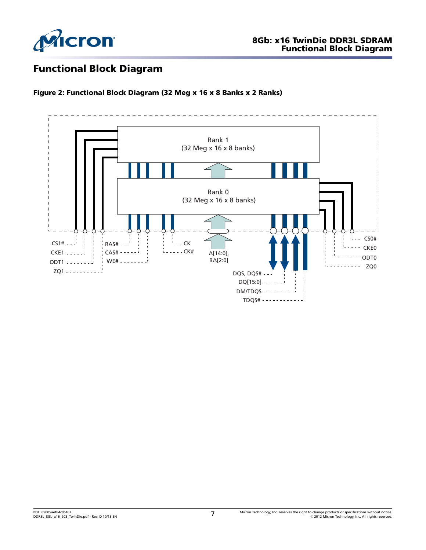

# Functional Block Diagram

Figure 2: Functional Block Diagram (32 Meg x 16 x 8 Banks x 2 Ranks)

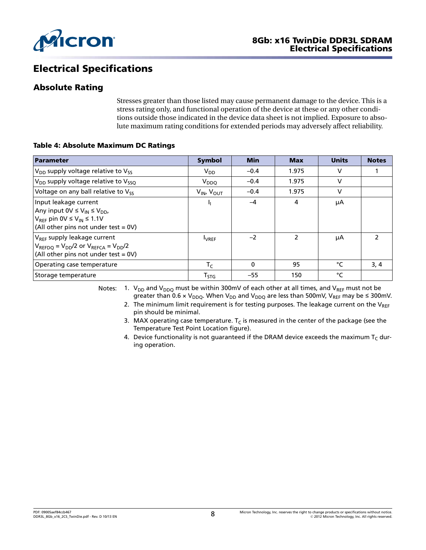

# Electrical Specifications

### Absolute Rating

Stresses greater than those listed may cause permanent damage to the device. This is a stress rating only, and functional operation of the device at these or any other conditions outside those indicated in the device data sheet is not implied. Exposure to absolute maximum rating conditions for extended periods may adversely affect reliability.

#### Table 4: Absolute Maximum DC Ratings

| Parameter                                                                                                                                                         | <b>Symbol</b>        | <b>Min</b> | <b>Max</b>               | <b>Units</b> | <b>Notes</b>  |
|-------------------------------------------------------------------------------------------------------------------------------------------------------------------|----------------------|------------|--------------------------|--------------|---------------|
| $V_{DD}$ supply voltage relative to $V_{SS}$                                                                                                                      | $V_{DD}$             | $-0.4$     | 1.975                    | v            |               |
| $V_{DD}$ supply voltage relative to $V_{SSO}$                                                                                                                     | V <sub>DDQ</sub>     | $-0.4$     | 1.975                    | $\vee$       |               |
| Voltage on any ball relative to V <sub>SS</sub>                                                                                                                   | $V_{IN}$ , $V_{OUT}$ | $-0.4$     | 1.975                    | V            |               |
| Input leakage current<br>Any input $0V \leq V_{IN} \leq V_{DD}$<br>$V_{REF}$ pin 0V $\leq$ V <sub>IN</sub> $\leq$ 1.1V<br>(All other pins not under test = $0V$ ) | ı,                   | $-4$       | 4                        | μA           |               |
| V <sub>REF</sub> supply leakage current<br>$V_{REFDQ} = V_{DD}/2$ or $V_{REFCA} = V_{DD}/2$<br>(All other pins not under test = $0V$ )                            | <b>LVREF</b>         | $-2$       | $\overline{\phantom{a}}$ | μA           | $\mathcal{P}$ |
| Operating case temperature                                                                                                                                        | $T_C$                | $\Omega$   | 95                       | °C           | 3, 4          |
| Storage temperature                                                                                                                                               | $T_{STG}$            | $-55$      | 150                      | °C           |               |

Notes: 1.  $V_{DD}$  and  $V_{DDQ}$  must be within 300mV of each other at all times, and  $V_{REF}$  must not be greater than 0.6 x V<sub>DDQ</sub>. When V<sub>DD</sub> and V<sub>DDQ</sub> are less than 500mV, V<sub>REF</sub> may be ≤ 300mV.

- 2. The minimum limit requirement is for testing purposes. The leakage current on the  $V_{REF}$ pin should be minimal.
- 3. MAX operating case temperature. T<sub>C</sub> is measured in the center of the package (see the Temperature Test Point Location figure).
- 4. Device functionality is not guaranteed if the DRAM device exceeds the maximum  $T_c$  during operation.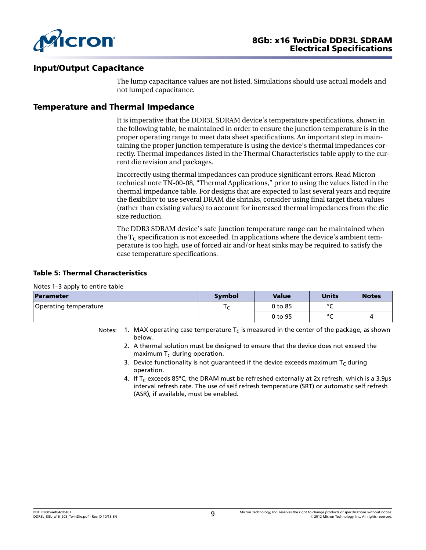

### Input/Output Capacitance

The lump capacitance values are not listed. Simulations should use actual models and not lumped capacitance.

### Temperature and Thermal Impedance

It is imperative that the DDR3L SDRAM device's temperature specifications, shown in the following table, be maintained in order to ensure the junction temperature is in the proper operating range to meet data sheet specifications. An important step in maintaining the proper junction temperature is using the device's thermal impedances correctly. Thermal impedances listed in the Thermal Characteristics table apply to the current die revision and packages.

Incorrectly using thermal impedances can produce significant errors. Read Micron technical note TN-00-08, "Thermal Applications," prior to using the values listed in the thermal impedance table. For designs that are expected to last several years and require the flexibility to use several DRAM die shrinks, consider using final target theta values (rather than existing values) to account for increased thermal impedances from the die size reduction.

The DDR3 SDRAM device's safe junction temperature range can be maintained when the  $T_c$  specification is not exceeded. In applications where the device's ambient temperature is too high, use of forced air and/or heat sinks may be required to satisfy the case temperature specifications.

#### Table 5: Thermal Characteristics

Notes 1–3 apply to entire table

| Parameter             | Symbol | <b>Value</b> | <b>Units</b> | <b>Notes</b> |
|-----------------------|--------|--------------|--------------|--------------|
| Operating temperature |        | $0$ to $85$  | $\sim$       |              |
|                       |        | 0 to 95      | $\sim$       | 4            |

Notes: 1. MAX operating case temperature  $T<sub>C</sub>$  is measured in the center of the package, as shown below.

- 2. A thermal solution must be designed to ensure that the device does not exceed the maximum  $T_c$  during operation.
- 3. Device functionality is not guaranteed if the device exceeds maximum  $T_c$  during operation.
- 4. If T<sub>C</sub> exceeds 85°C, the DRAM must be refreshed externally at 2x refresh, which is a 3.9µs interval refresh rate. The use of self refresh temperature (SRT) or automatic self refresh (ASR), if available, must be enabled.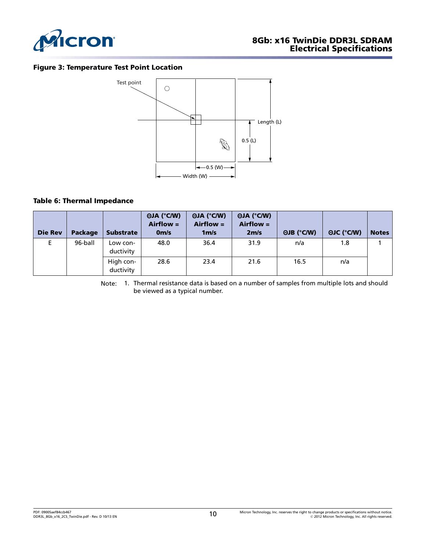

#### Figure 3: Temperature Test Point Location



#### Table 6: Thermal Impedance

| <b>Die Rev</b> | <b>Package</b> | <b>Substrate</b>       | $\Theta$ JA (°C/W)<br>$Airflow =$<br>0 <sub>m/s</sub> | $\Theta$ JA (°C/W)<br>$Airflow =$<br>1 <sub>m/s</sub> | $\Theta$ JA (°C/W)<br>$Airflow =$<br>2 <sub>m/s</sub> | $\Theta$ JB (°C/W) | $\Theta$ JC (°C/W) | <b>Notes</b> |
|----------------|----------------|------------------------|-------------------------------------------------------|-------------------------------------------------------|-------------------------------------------------------|--------------------|--------------------|--------------|
| E              | 96-ball        | Low con-<br>ductivity  | 48.0                                                  | 36.4                                                  | 31.9                                                  | n/a                | 1.8                |              |
|                |                | High con-<br>ductivity | 28.6                                                  | 23.4                                                  | 21.6                                                  | 16.5               | n/a                |              |

Note: 1. Thermal resistance data is based on a number of samples from multiple lots and should be viewed as a typical number.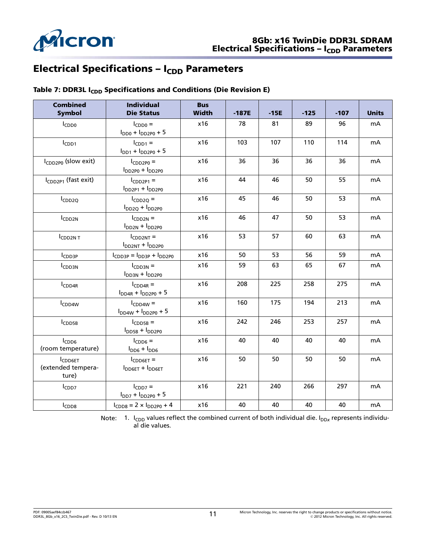

## Electrical Specifications –  $I_{CDD}$  Parameters

| <b>Combined</b><br><b>Symbol</b>              | <b>Individual</b><br><b>Die Status</b>      | <b>Bus</b><br><b>Width</b> | $-187E$ | $-15E$ | $-125$ | $-107$ | <b>Units</b>   |
|-----------------------------------------------|---------------------------------------------|----------------------------|---------|--------|--------|--------|----------------|
| $I_{CDD0}$                                    | $I_{CDD0}$ =<br>$I_{DD0} + I_{DD2P0} + 5$   | x16                        | 78      | 81     | 89     | 96     | mA             |
| I <sub>CDD1</sub>                             | $I_{CDD1} =$<br>$I_{DD1} + I_{DD2P0} + 5$   | x16                        | 103     | 107    | 110    | 114    | mA             |
| I <sub>CDD2P0</sub> (slow exit)               | $I_{CDD2PO}$ =<br>$I_{DD2P0} + I_{DD2P0}$   | x16                        | 36      | 36     | 36     | 36     | mA             |
| I <sub>CDD2P1</sub> (fast exit)               | $I_{CDD2P1} =$<br>$I_{DD2P1} + I_{DD2P0}$   | x16                        | 44      | 46     | 50     | 55     | mA             |
| ICDD <sub>2Q</sub>                            | $I_{CDD2Q} =$<br>$I_{DD2Q} + I_{DD2P0}$     | x16                        | 45      | 46     | 50     | 53     | mA             |
| ICDD <sub>2N</sub>                            | $I_{CDD2N}$ =<br>$IDD2N + IDD2PO$           | x16                        | 46      | 47     | 50     | 53     | mA             |
| ICDD2NT                                       | $I_{CDD2NT} =$<br>$I_{DD2NT} + I_{DD2PO}$   | x16                        | 53      | 57     | 60     | 63     | m <sub>A</sub> |
| ICDD3P                                        | $ICDD3P = IDD3P + IDD2P0$                   | x16                        | 50      | 53     | 56     | 59     | m <sub>A</sub> |
| <b>CDD3N</b>                                  | $I_{CDD3N} =$<br>$IDD3N + IDD2PO$           | x16                        | 59      | 63     | 65     | 67     | mA             |
| $I_{CDD4R}$                                   | $I_{CDD4R}$ =<br>$I_{DD4R} + I_{DD2P0} + 5$ | x16                        | 208     | 225    | 258    | 275    | mA             |
| I <sub>CDD4W</sub>                            | $I_{CDD4W}$ =<br>$I_{DD4W} + I_{DD2P0} + 5$ | x16                        | 160     | 175    | 194    | 213    | mA             |
| ICDD5B                                        | $I_{CDD5B}$ =<br>$I_{DD5B} + I_{DD2P0}$     | x16                        | 242     | 246    | 253    | 257    | m <sub>A</sub> |
| $I_{CDD6}$<br>(room temperature)              | $I_{CDD6} =$<br>$I_{DD6} + I_{DD6}$         | x16                        | 40      | 40     | 40     | 40     | mA             |
| <b>ICDD6ET</b><br>(extended tempera-<br>ture) | $I_{CDD6ET}$ =<br>$I_{DD6ET} + I_{DD6ET}$   | x16                        | 50      | 50     | 50     | 50     | mA             |
| I <sub>CDD7</sub>                             | $I_{CDD7}$ =<br>$I_{DD7} + I_{DD2P0} + 5$   | x16                        | 221     | 240    | 266    | 297    | mA             |
| I <sub>CDD8</sub>                             | $I_{CDD8} = 2 \times I_{DD2P0} + 4$         | x16                        | 40      | 40     | 40     | 40     | mA             |

### Table 7: DDR3L I<sub>CDD</sub> Specifications and Conditions (Die Revision E)

Note: 1. I<sub>CDD</sub> values reflect the combined current of both individual die. I<sub>DDx</sub> represents individual die values.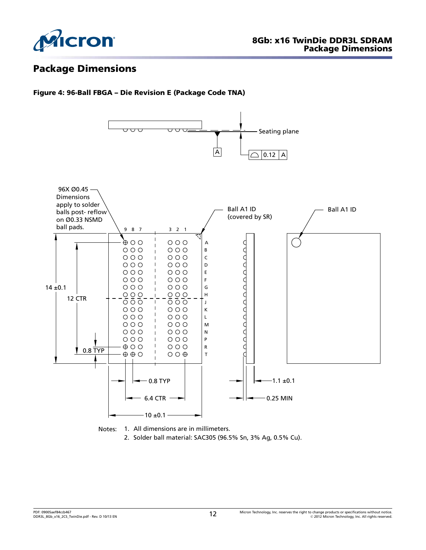

# Package Dimensions

#### Figure 4: 96-Ball FBGA – Die Revision E (Package Code TNA)





2. Solder ball material: SAC305 (96.5% Sn, 3% Ag, 0.5% Cu).